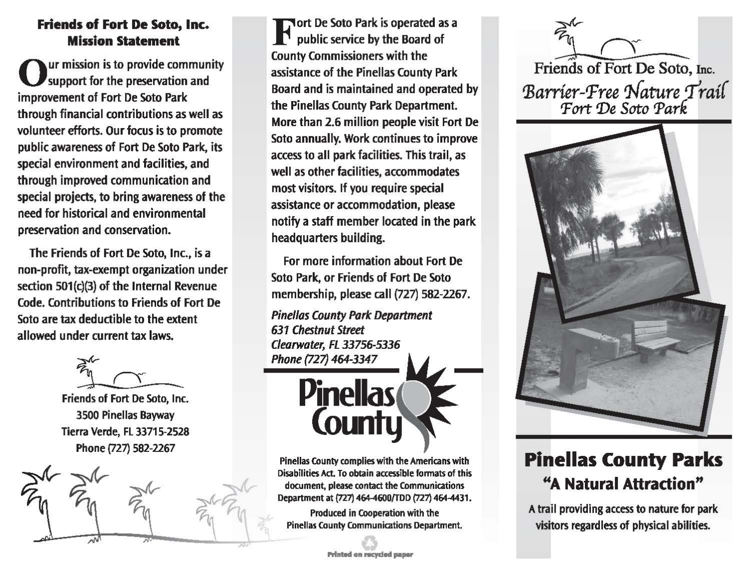## Friends of Fort De Soto, Inc. Mission Statement

ur mission is to provide community support for the preservation and improvement of Fort De Soto Park through financial contributions as well as volunteer efforts. Our focus is to promote public awareness of Fort De Soto Park, its special environment and facilities, and through improved communication and special projects, to bring awareness of the need for historical and environmental preservation and conservation.

The Friends of Fort De Soto, Inc., is a non-profit, tax-exempt organization under section 501(c)(3) of the Internal Revenue Code. Contributions to Friends of Fort De Soto are tax deductible to the extent allowed under current tax laws.

Friends of Fort De Soto, Inc. 3500 Pinellas Bayway Tierra Verde, FL 33715-2528 Phone (727) 582-2267



**Fort De Soto Park is operated as a** public service by the Board of County Commissioners with the assistance of the Pinellas County Park Board and is maintained and operated by the Pinellas County Park Department. More than 2.6 million people visit Fort De Soto annually. Work continues to improve access to all park facilities. This trail, as well as other facilities, accommodates most visitors. If you require special assistance or accommodation, please notify a staff member located in the park headquarters building.

For more information about Fort De Soto Park, or Friends of Fort De Soto membership, please call (727) 582-2267.

Pinellas County Pork Deportment 631 Chestnut Street Clearwater, FL 33756-5336 Phone {727) 464-3347



Pinellas County complies with the Americans with Disabilities Act. To obtain accessible fonnats of this document, please contact the Communications Department at {727} 464-4600/TDD (727) 464-4431.

Produced in Cooperation with the Pinellas County Communiations Department.

--;;.::r-.....\_, *n-r\_* \_\_ Friends of Fort De Soto, Inc. *':Barrier-Pree 'l{ature 'I'rai{ 'Fort 'De Soto Park* 



## **Pinellas County Parks**  "A Natural Attraction"

A trail providing access to nature for park visitors regardless of physical abilities.